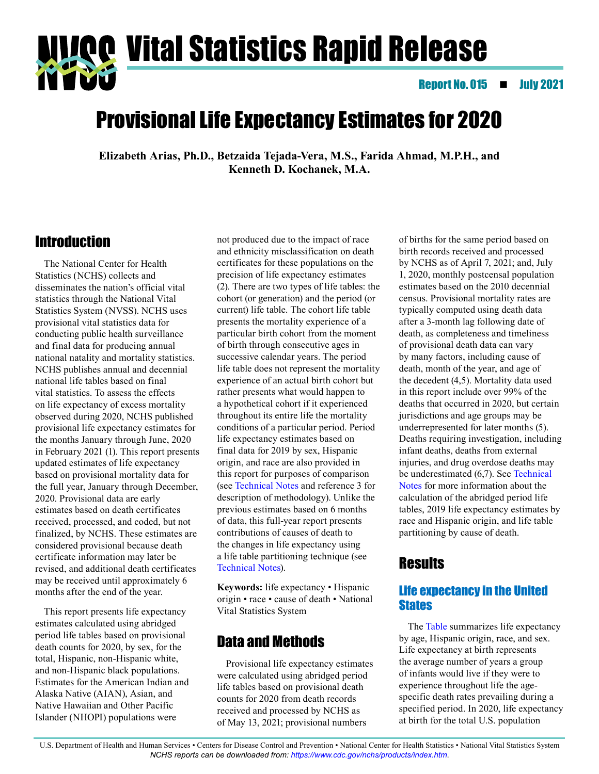**Vivog Vital Statistics Rapid Release**<br>NYVŐ

Report No. 015 **19 July 2021** 

# Provisional Life Expectancy Estimates for 2020

**Elizabeth Arias, Ph.D., Betzaida Tejada-Vera, M.S., Farida Ahmad, M.P.H., and Kenneth D. Kochanek, M.A.**

## Introduction

The National Center for Health Statistics (NCHS) collects and disseminates the nation's official vital statistics through the National Vital Statistics System (NVSS). NCHS uses provisional vital statistics data for conducting public health surveillance and final data for producing annual national natality and mortality statistics. NCHS publishes annual and decennial national life tables based on final vital statistics. To assess the effects on life expectancy of excess mortality observed during 2020, NCHS published provisional life expectancy estimates for the months January through June, 2020 in February 2021 (1). This report presents updated estimates of life expectancy based on provisional mortality data for the full year, January through December, 2020. Provisional data are early estimates based on death certificates received, processed, and coded, but not finalized, by NCHS. These estimates are considered provisional because death certificate information may later be revised, and additional death certificates may be received until approximately 6 months after the end of the year.

This report presents life expectancy estimates calculated using abridged period life tables based on provisional death counts for 2020, by sex, for the total, Hispanic, non-Hispanic white, and non-Hispanic black populations. Estimates for the American Indian and Alaska Native (AIAN), Asian, and Native Hawaiian and Other Pacific Islander (NHOPI) populations were

not produced due to the impact of race and ethnicity misclassification on death certificates for these populations on the precision of life expectancy estimates (2). There are two types of life tables: the cohort (or generation) and the period (or current) life table. The cohort life table presents the mortality experience of a particular birth cohort from the moment of birth through consecutive ages in successive calendar years. The period life table does not represent the mortality experience of an actual birth cohort but rather presents what would happen to a hypothetical cohort if it experienced throughout its entire life the mortality conditions of a particular period. Period life expectancy estimates based on final data for 2019 by sex, Hispanic origin, and race are also provided in this report for purposes of comparison (see [Technical Notes](#page-8-0) and reference 3 for description of methodology). Unlike the previous estimates based on 6 months of data, this full-year report presents contributions of causes of death to the changes in life expectancy using a life table partitioning technique (see [Technical Notes\)](#page-8-0).

**Keywords:** life expectancy • Hispanic origin • race • cause of death • National Vital Statistics System

## Data and Methods

Provisional life expectancy estimates were calculated using abridged period life tables based on provisional death counts for 2020 from death records received and processed by NCHS as of May 13, 2021; provisional numbers

of births for the same period based on birth records received and processed by NCHS as of April 7, 2021; and, July 1, 2020, monthly postcensal population estimates based on the 2010 decennial census. Provisional mortality rates are typically computed using death data after a 3-month lag following date of death, as completeness and timeliness of provisional death data can vary by many factors, including cause of death, month of the year, and age of the decedent (4,5). Mortality data used in this report include over 99% of the deaths that occurred in 2020, but certain jurisdictions and age groups may be underrepresented for later months (5). Deaths requiring investigation, including infant deaths, deaths from external injuries, and drug overdose deaths may be underestimated (6,7). See [Technical](#page-8-0)  [Notes f](#page-8-0)or more information about the calculation of the abridged period life tables, 2019 life expectancy estimates by race and Hispanic origin, and life table partitioning by cause of death.

## **Results**

### Life expectancy in the United **States**

The [Table s](#page-1-0)ummarizes life expectancy by age, Hispanic origin, race, and sex. Life expectancy at birth represents the average number of years a group of infants would live if they were to experience throughout life the agespecific death rates prevailing during a specified period. In 2020, life expectancy at birth for the total U.S. population

U.S. Department of Health and Human Services • Centers for Disease Control and Prevention • National Center for Health Statistics • National Vital Statistics System *NCHS reports can be downloaded from:<https://www.cdc.gov/nchs/products/index.htm>*.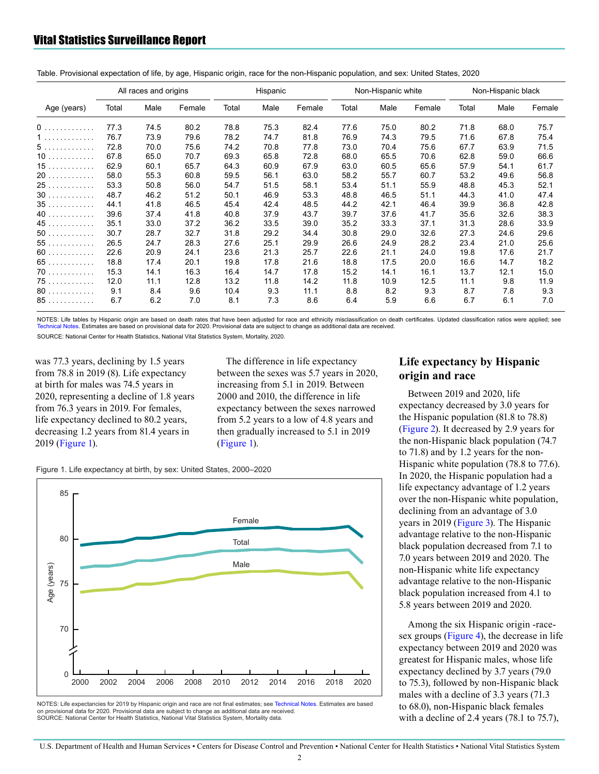<span id="page-1-0"></span>

| Table. Provisional expectation of life, by age, Hispanic origin, race for the non-Hispanic population, and sex: United States, 2020 |  |  |  |  |
|-------------------------------------------------------------------------------------------------------------------------------------|--|--|--|--|
|-------------------------------------------------------------------------------------------------------------------------------------|--|--|--|--|

|             | All races and origins |      |        | Hispanic |      | Non-Hispanic white |       |      | Non-Hispanic black |       |      |        |
|-------------|-----------------------|------|--------|----------|------|--------------------|-------|------|--------------------|-------|------|--------|
| Age (years) | Total                 | Male | Female | Total    | Male | Female             | Total | Male | Female             | Total | Male | Female |
| 0           | 77.3                  | 74.5 | 80.2   | 78.8     | 75.3 | 82.4               | 77.6  | 75.0 | 80.2               | 71.8  | 68.0 | 75.7   |
| 1           | 76.7                  | 73.9 | 79.6   | 78.2     | 74.7 | 81.8               | 76.9  | 74.3 | 79.5               | 71.6  | 67.8 | 75.4   |
| 5.          | 72.8                  | 70.0 | 75.6   | 74.2     | 70.8 | 77.8               | 73.0  | 70.4 | 75.6               | 67.7  | 63.9 | 71.5   |
| 10          | 67.8                  | 65.0 | 70.7   | 69.3     | 65.8 | 72.8               | 68.0  | 65.5 | 70.6               | 62.8  | 59.0 | 66.6   |
| 15          | 62.9                  | 60.1 | 65.7   | 64.3     | 60.9 | 67.9               | 63.0  | 60.5 | 65.6               | 57.9  | 54.1 | 61.7   |
| 20          | 58.0                  | 55.3 | 60.8   | 59.5     | 56.1 | 63.0               | 58.2  | 55.7 | 60.7               | 53.2  | 49.6 | 56.8   |
| 25          | 53.3                  | 50.8 | 56.0   | 54.7     | 51.5 | 58.1               | 53.4  | 51.1 | 55.9               | 48.8  | 45.3 | 52.1   |
| 30          | 48.7                  | 46.2 | 51.2   | 50.1     | 46.9 | 53.3               | 48.8  | 46.5 | 51.1               | 44.3  | 41.0 | 47.4   |
| 35          | 44.1                  | 41.8 | 46.5   | 45.4     | 42.4 | 48.5               | 44.2  | 42.1 | 46.4               | 39.9  | 36.8 | 42.8   |
| 40          | 39.6                  | 37.4 | 41.8   | 40.8     | 37.9 | 43.7               | 39.7  | 37.6 | 41.7               | 35.6  | 32.6 | 38.3   |
| 45          | 35.1                  | 33.0 | 37.2   | 36.2     | 33.5 | 39.0               | 35.2  | 33.3 | 37.1               | 31.3  | 28.6 | 33.9   |
| $50$        | 30.7                  | 28.7 | 32.7   | 31.8     | 29.2 | 34.4               | 30.8  | 29.0 | 32.6               | 27.3  | 24.6 | 29.6   |
| 55          | 26.5                  | 24.7 | 28.3   | 27.6     | 25.1 | 29.9               | 26.6  | 24.9 | 28.2               | 23.4  | 21.0 | 25.6   |
| 60          | 22.6                  | 20.9 | 24.1   | 23.6     | 21.3 | 25.7               | 22.6  | 21.1 | 24.0               | 19.8  | 17.6 | 21.7   |
| 65          | 18.8                  | 17.4 | 20.1   | 19.8     | 17.8 | 21.6               | 18.8  | 17.5 | 20.0               | 16.6  | 14.7 | 18.2   |
| 70          | 15.3                  | 14.1 | 16.3   | 16.4     | 14.7 | 17.8               | 15.2  | 14.1 | 16.1               | 13.7  | 12.1 | 15.0   |
| 75          | 12.0                  | 11.1 | 12.8   | 13.2     | 11.8 | 14.2               | 11.8  | 10.9 | 12.5               | 11.1  | 9.8  | 11.9   |
| 80          | 9.1                   | 8.4  | 9.6    | 10.4     | 9.3  | 11.1               | 8.8   | 8.2  | 9.3                | 8.7   | 7.8  | 9.3    |
| 85          | 6.7                   | 6.2  | 7.0    | 8.1      | 7.3  | 8.6                | 6.4   | 5.9  | 6.6                | 6.7   | 6.1  | 7.0    |

NOTES: Life tables by Hispanic origin are based on death rates that have been adjusted for race and ethnicity misclassification on death certificates. Updated classification ratios were applied; see Technical Notes. Estimates are based on provisional data for 2020. Provisional data are subject to change as additional data are received.

SOURCE: National Center for Health Statistics. National Vital Statistics System, Mortality, 2020.

was 77.3 years, declining by 1.5 years from  $78.8$  in  $2019(8)$ . Life expectancy at birth for males was 74.5 years in 2020, representing a decline of 1.8 years from 76.3 years in 2019. For females, life expectancy declined to 80.2 years, decreasing 1.2 years from 81.4 years in 2019 (Figure 1).

The difference in life expectancy between the sexes was 5.7 years in 2020, increasing from 5.1 in 2019. Between 2000 and 2010, the difference in life expectancy between the sexes narrowed from 5.2 years to a low of 4.8 years and then gradually increased to 5.1 in 2019  $(Figure 1)$ .

Figure 1. Life expectancy at birth, by sex: United States, 2000-2020



NOTES: Life expectancies for 2019 by Hispanic origin and race are not final estimates; see Technical Notes. Estimates are based on provisional data for 2020. Provisional data are subject to change as additional data are received. SOURCE: National Center for Health Statistics, National Vital Statistics System, Mortality data.

#### Life expectancy by Hispanic origin and race

Between 2019 and 2020, life expectancy decreased by 3.0 years for the Hispanic population  $(81.8 \text{ to } 78.8)$ (Figure 2). It decreased by 2.9 years for the non-Hispanic black population (74.7) to 71.8) and by 1.2 years for the non-Hispanic white population (78.8 to 77.6). In 2020, the Hispanic population had a life expectancy advantage of 1.2 years over the non-Hispanic white population, declining from an advantage of 3.0 years in 2019 (Figure 3). The Hispanic advantage relative to the non-Hispanic black population decreased from 7.1 to 7.0 years between 2019 and 2020. The non-Hispanic white life expectancy advantage relative to the non-Hispanic black population increased from 4.1 to 5.8 years between 2019 and 2020.

Among the six Hispanic origin -racesex groups (Figure 4), the decrease in life expectancy between 2019 and 2020 was greatest for Hispanic males, whose life expectancy declined by 3.7 years (79.0 to 75.3), followed by non-Hispanic black males with a decline of 3.3 years (71.3) to 68.0), non-Hispanic black females with a decline of 2.4 years  $(78.1$  to 75.7),

U.S. Department of Health and Human Services · Centers for Disease Control and Prevention · National Center for Health Statistics · National Vital Statistics System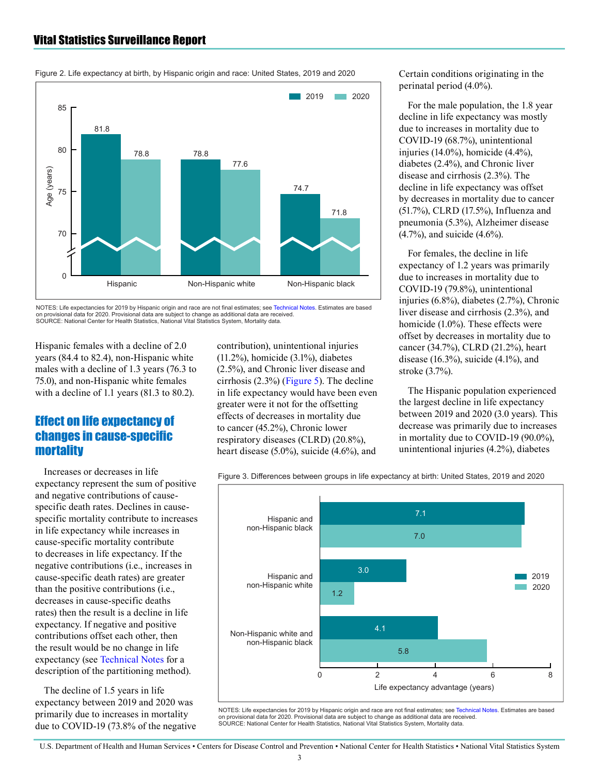<span id="page-2-0"></span>



Figure 2. Life expectancy at birth, by Hispanic origin and race: United States, 2019 and 2020

NOTES: Life expectancies for 2019 by Hispanic origin and race are not final estimates; se[e Technical Notes](#page-8-0). Estimates are based on provisional data for 2020. Provisional data are subject to change as additional data are received. SOURCE: National Center for Health Statistics, National Vital Statistics System, Mortality data

Hispanic females with a decline of 2.0 years (84.4 to 82.4), non-Hispanic white males with a decline of 1.3 years (76.3 to 75.0), and non-Hispanic white females with a decline of 1.1 years (81.3 to 80.2).

#### Effect on life expectancy of changes in cause-specific **mortality**

Increases or decreases in life expectancy represent the sum of positive and negative contributions of causespecific death rates. Declines in causespecific mortality contribute to increases in life expectancy while increases in cause-specific mortality contribute to decreases in life expectancy. If the negative contributions (i.e., increases in cause-specific death rates) are greater than the positive contributions (i.e., decreases in cause-specific deaths rates) then the result is a decline in life expectancy. If negative and positive contributions offset each other, then the result would be no change in life expectancy (see [Technical Notes f](#page-8-0)or a description of the partitioning method).

The decline of 1.5 years in life expectancy between 2019 and 2020 was primarily due to increases in mortality due to COVID-19 (73.8% of the negative contribution), unintentional injuries (11.2%), homicide (3.1%), diabetes (2.5%), and Chronic liver disease and cirrhosis  $(2.3\%)$  [\(Figure 5\)](#page-4-0). The decline in life expectancy would have been even greater were it not for the offsetting effects of decreases in mortality due to cancer (45.2%), Chronic lower respiratory diseases (CLRD) (20.8%), heart disease (5.0%), suicide (4.6%), and

Certain conditions originating in the perinatal period (4.0%).

For the male population, the 1.8 year decline in life expectancy was mostly due to increases in mortality due to COVID-19 (68.7%), unintentional injuries (14.0%), homicide (4.4%), diabetes (2.4%), and Chronic liver disease and cirrhosis (2.3%). The decline in life expectancy was offset by decreases in mortality due to cancer (51.7%), CLRD (17.5%), Influenza and pneumonia (5.3%), Alzheimer disease (4.7%), and suicide (4.6%).

For females, the decline in life expectancy of 1.2 years was primarily due to increases in mortality due to COVID-19 (79.8%), unintentional injuries (6.8%), diabetes (2.7%), Chronic liver disease and cirrhosis (2.3%), and homicide (1.0%). These effects were offset by decreases in mortality due to cancer (34.7%), CLRD (21.2%), heart disease (16.3%), suicide (4.1%), and stroke (3.7%).

The Hispanic population experienced the largest decline in life expectancy between 2019 and 2020 (3.0 years). This decrease was primarily due to increases in mortality due to COVID-19 (90.0%), unintentional injuries (4.2%), diabetes

Figure 3. Differences between groups in life expectancy at birth: United States, 2019 and 2020



NOTES: Life expectancies for 2019 by Hispanic origin and race are not final estimates; see [Technical Notes.](#page-8-0) Estimates are based on provisional data for 2020. Provisional data are subject to change as additional data are received. SOURCE: National Center for Health Statistics, National Vital Statistics System, Mortality data.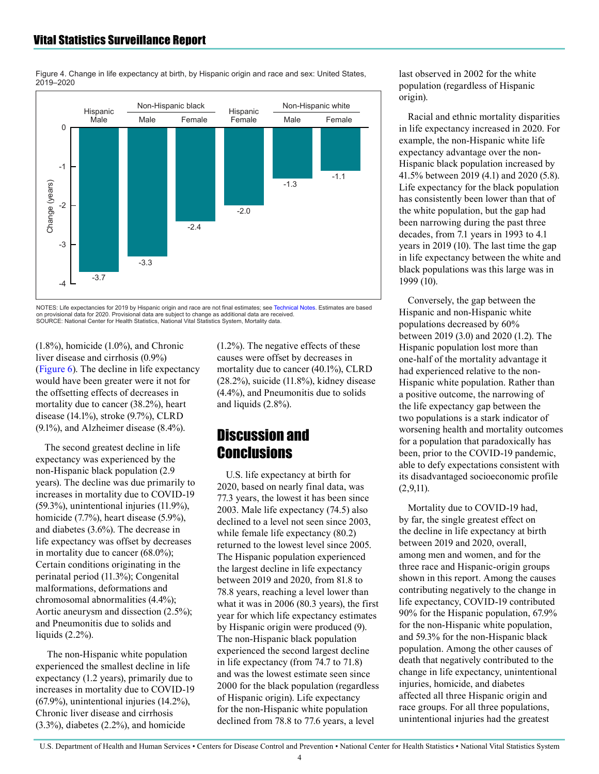<span id="page-3-0"></span>Figure 4. Change in life expectancy at birth, by Hispanic origin and race and sex: United States, 2019–2020



NOTES: Life expectancies for 2019 by Hispanic origin and race are not final estimates; se[e Technical Notes.](#page-8-0) Estimates are based on provisional data for 2020. Provisional data are subject to change as additional data are received. SOURCE: National Center for Health Statistics, National Vital Statistics System, Mortality data.

(1.8%), homicide (1.0%), and Chronic liver disease and cirrhosis (0.9%) [\(Figure 6\)](#page-5-0). The decline in life expectancy would have been greater were it not for the offsetting effects of decreases in mortality due to cancer (38.2%), heart disease (14.1%), stroke (9.7%), CLRD (9.1%), and Alzheimer disease (8.4%).

The second greatest decline in life expectancy was experienced by the non-Hispanic black population (2.9 years). The decline was due primarily to increases in mortality due to COVID-19 (59.3%), unintentional injuries (11.9%), homicide (7.7%), heart disease (5.9%), and diabetes (3.6%). The decrease in life expectancy was offset by decreases in mortality due to cancer (68.0%); Certain conditions originating in the perinatal period (11.3%); Congenital malformations, deformations and chromosomal abnormalities (4.4%); Aortic aneurysm and dissection (2.5%); and Pneumonitis due to solids and liquids (2.2%).

 The non-Hispanic white population experienced the smallest decline in life expectancy (1.2 years), primarily due to increases in mortality due to COVID-19 (67.9%), unintentional injuries (14.2%), Chronic liver disease and cirrhosis (3.3%), diabetes (2.2%), and homicide

(1.2%). The negative effects of these causes were offset by decreases in mortality due to cancer (40.1%), CLRD (28.2%), suicide (11.8%), kidney disease (4.4%), and Pneumonitis due to solids and liquids (2.8%).

## Discussion and **Conclusions**

U.S. life expectancy at birth for 2020, based on nearly final data, was 77.3 years, the lowest it has been since 2003. Male life expectancy (74.5) also declined to a level not seen since 2003, while female life expectancy (80.2) returned to the lowest level since 2005. The Hispanic population experienced the largest decline in life expectancy between 2019 and 2020, from 81.8 to 78.8 years, reaching a level lower than what it was in 2006 (80.3 years), the first year for which life expectancy estimates by Hispanic origin were produced (9). The non-Hispanic black population experienced the second largest decline in life expectancy (from 74.7 to 71.8) and was the lowest estimate seen since 2000 for the black population (regardless of Hispanic origin). Life expectancy for the non-Hispanic white population declined from 78.8 to 77.6 years, a level

last observed in 2002 for the white population (regardless of Hispanic origin).

Racial and ethnic mortality disparities in life expectancy increased in 2020. For example, the non-Hispanic white life expectancy advantage over the non-Hispanic black population increased by 41.5% between 2019 (4.1) and 2020 (5.8). Life expectancy for the black population has consistently been lower than that of the white population, but the gap had been narrowing during the past three decades, from 7.1 years in 1993 to 4.1 years in 2019 (10). The last time the gap in life expectancy between the white and black populations was this large was in 1999 (10).

Conversely, the gap between the Hispanic and non-Hispanic white populations decreased by 60% between 2019 (3.0) and 2020 (1.2). The Hispanic population lost more than one-half of the mortality advantage it had experienced relative to the non-Hispanic white population. Rather than a positive outcome, the narrowing of the life expectancy gap between the two populations is a stark indicator of worsening health and mortality outcomes for a population that paradoxically has been, prior to the COVID-19 pandemic, able to defy expectations consistent with its disadvantaged socioeconomic profile  $(2,9,11)$ .

Mortality due to COVID-19 had, by far, the single greatest effect on the decline in life expectancy at birth between 2019 and 2020, overall, among men and women, and for the three race and Hispanic-origin groups shown in this report. Among the causes contributing negatively to the change in life expectancy, COVID-19 contributed 90% for the Hispanic population, 67.9% for the non-Hispanic white population, and 59.3% for the non-Hispanic black population. Among the other causes of death that negatively contributed to the change in life expectancy, unintentional injuries, homicide, and diabetes affected all three Hispanic origin and race groups. For all three populations, unintentional injuries had the greatest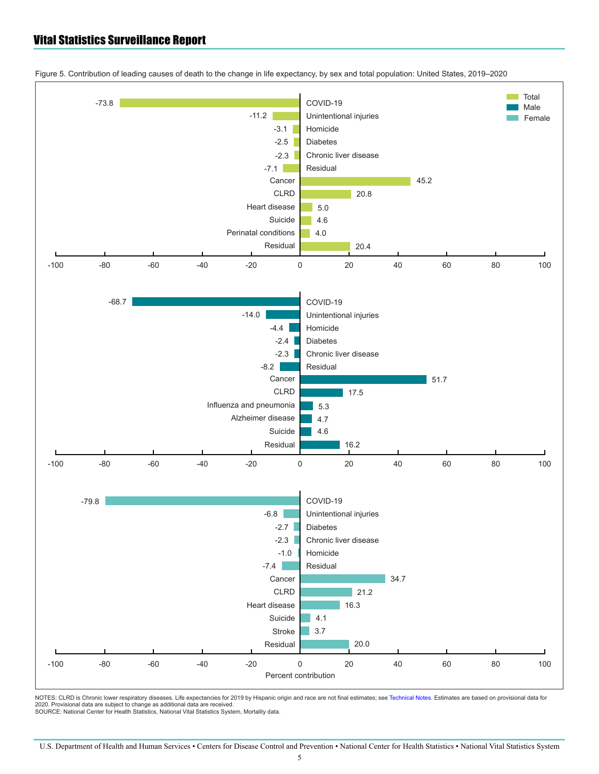

<span id="page-4-0"></span>Figure 5. Contribution of leading causes of death to the change in life expectancy, by sex and total population: United States, 2019–2020

NOTES: CLRD is Chronic lower respiratory diseases. Life expectancies for 2019 by Hispanic origin and race are not final estimates; se[e Technical Notes.](#page-8-0) Estimates are based on provisional data for<br>2020. Provisional data are SOURCE: National Center for Health Statistics, National Vital Statistics System, Mortality data.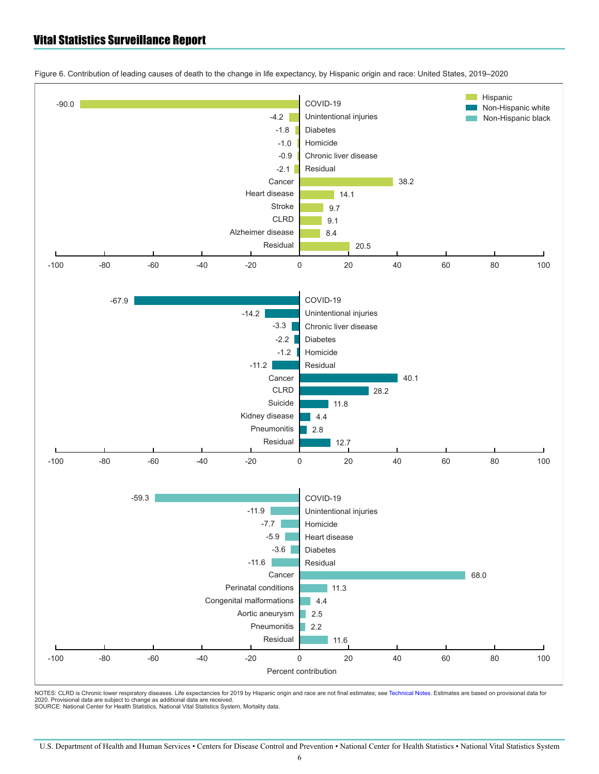

<span id="page-5-0"></span>Figure 6. Contribution of leading causes of death to the change in life expectancy, by Hispanic origin and race: United States, 2019–2020

NOTES: CLRD is Chronic lower respiratory diseases. Life expectancies for 2019 by Hispanic origin and race are not final estimates; see [Technical Notes.](#page-8-0) Estimates are based on provisional data for 2020. Provisional data are subject to change as additional data are received. SOURCE: National Center for Health Statistics, National Vital Statistics System, Mortality data.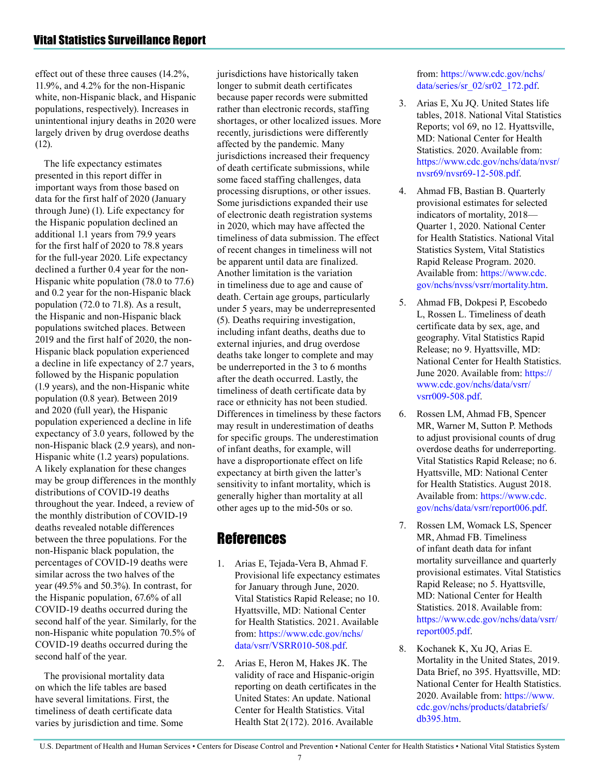effect out of these three causes (14.2%, 11.9%, and 4.2% for the non-Hispanic white, non-Hispanic black, and Hispanic populations, respectively). Increases in unintentional injury deaths in 2020 were largely driven by drug overdose deaths (12).

The life expectancy estimates presented in this report differ in important ways from those based on data for the first half of 2020 (January through June) (1). Life expectancy for the Hispanic population declined an additional 1.1 years from 79.9 years for the first half of 2020 to 78.8 years for the full-year 2020. Life expectancy declined a further 0.4 year for the non-Hispanic white population (78.0 to 77.6) and 0.2 year for the non-Hispanic black population (72.0 to 71.8). As a result, the Hispanic and non-Hispanic black populations switched places. Between 2019 and the first half of 2020, the non-Hispanic black population experienced a decline in life expectancy of 2.7 years, followed by the Hispanic population (1.9 years), and the non-Hispanic white population (0.8 year). Between 2019 and 2020 (full year), the Hispanic population experienced a decline in life expectancy of 3.0 years, followed by the non-Hispanic black (2.9 years), and non-Hispanic white (1.2 years) populations. A likely explanation for these changes may be group differences in the monthly distributions of COVID-19 deaths throughout the year. Indeed, a review of the monthly distribution of COVID-19 deaths revealed notable differences between the three populations. For the non-Hispanic black population, the percentages of COVID-19 deaths were similar across the two halves of the year (49.5% and 50.3%). In contrast, for the Hispanic population, 67.6% of all COVID-19 deaths occurred during the second half of the year. Similarly, for the non-Hispanic white population 70.5% of COVID-19 deaths occurred during the second half of the year.

The provisional mortality data on which the life tables are based have several limitations. First, the timeliness of death certificate data varies by jurisdiction and time. Some jurisdictions have historically taken longer to submit death certificates because paper records were submitted rather than electronic records, staffing shortages, or other localized issues. More recently, jurisdictions were differently affected by the pandemic. Many jurisdictions increased their frequency of death certificate submissions, while some faced staffing challenges, data processing disruptions, or other issues. Some jurisdictions expanded their use of electronic death registration systems in 2020, which may have affected the timeliness of data submission. The effect of recent changes in timeliness will not be apparent until data are finalized. Another limitation is the variation in timeliness due to age and cause of death. Certain age groups, particularly under 5 years, may be underrepresented (5). Deaths requiring investigation, including infant deaths, deaths due to external injuries, and drug overdose deaths take longer to complete and may be underreported in the 3 to 6 months after the death occurred. Lastly, the timeliness of death certificate data by race or ethnicity has not been studied. Differences in timeliness by these factors may result in underestimation of deaths for specific groups. The underestimation of infant deaths, for example, will have a disproportionate effect on life expectancy at birth given the latter's sensitivity to infant mortality, which is generally higher than mortality at all other ages up to the mid-50s or so.

## References

- 1. Arias E, Tejada-Vera B, Ahmad F. Provisional life expectancy estimates for January through June, 2020. Vital Statistics Rapid Release; no 10. Hyattsville, MD: National Center for Health Statistics. 2021. Available from: [https://www.cdc.gov/nchs/](https://www.cdc.gov/nchs/data/vsrr/VSRR010-508.pdf) [data/vsrr/VSRR010-508.pdf](https://www.cdc.gov/nchs/data/vsrr/VSRR010-508.pdf).
- 2. Arias E, Heron M, Hakes JK. The validity of race and Hispanic-origin reporting on death certificates in the United States: An update. National Center for Health Statistics. Vital Health Stat 2(172). 2016. Available

from: [https://www.cdc.gov/nchs/](https://www.cdc.gov/nchs/data/series/sr_02/sr02_172.pdf) [data/series/sr\\_02/sr02\\_172.pdf](https://www.cdc.gov/nchs/data/series/sr_02/sr02_172.pdf).

- 3. Arias E, Xu JQ. United States life tables, 2018. National Vital Statistics Reports; vol 69, no 12. Hyattsville, MD: National Center for Health Statistics. 2020. Available from: [https://www.cdc.gov/nchs/data/nvsr/](https://www.cdc.gov/nchs/data/nvsr/nvsr69/nvsr69-12-508.pdf) [nvsr69/nvsr69-12-508.pdf.](https://www.cdc.gov/nchs/data/nvsr/nvsr69/nvsr69-12-508.pdf)
- 4. Ahmad FB, Bastian B. Quarterly provisional estimates for selected indicators of mortality, 2018— Quarter 1, 2020. National Center for Health Statistics. National Vital Statistics System, Vital Statistics Rapid Release Program. 2020. Available from: [https://www.cdc.](https://www.cdc.gov/nchs/nvss/vsrr/mortality.htm) [gov/nchs/nvss/vsrr/mortality.htm.](https://www.cdc.gov/nchs/nvss/vsrr/mortality.htm)
- 5. Ahmad FB, Dokpesi P, Escobedo L, Rossen L. Timeliness of death certificate data by sex, age, and geography. Vital Statistics Rapid Release; no 9. Hyattsville, MD: National Center for Health Statistics. June 2020. Available from: [https://](https://www.cdc.gov/nchs/data/vsrr/vsrr009-508.pdf) [www.cdc.gov/nchs/data/vsrr/](https://www.cdc.gov/nchs/data/vsrr/vsrr009-508.pdf) [vsrr009-508.pdf.](https://www.cdc.gov/nchs/data/vsrr/vsrr009-508.pdf)
- 6. Rossen LM, Ahmad FB, Spencer MR, Warner M, Sutton P. Methods to adjust provisional counts of drug overdose deaths for underreporting. Vital Statistics Rapid Release; no 6. Hyattsville, MD: National Center for Health Statistics. August 2018. Available from: [https://www.cdc.](https://www.cdc.gov/nchs/data/vsrr/report006.pdf) [gov/nchs/data/vsrr/report006.pdf](https://www.cdc.gov/nchs/data/vsrr/report006.pdf).
- 7. Rossen LM, Womack LS, Spencer MR, Ahmad FB. Timeliness of infant death data for infant mortality surveillance and quarterly provisional estimates. Vital Statistics Rapid Release; no 5. Hyattsville, MD: National Center for Health Statistics. 2018. Available from: [https://www.cdc.gov/nchs/data/vsrr/](https://www.cdc.gov/nchs/data/vsrr/report005.pdf) [report005.pdf.](https://www.cdc.gov/nchs/data/vsrr/report005.pdf)
- 8. Kochanek K, Xu JQ, Arias E. Mortality in the United States, 2019. Data Brief, no 395. Hyattsville, MD: National Center for Health Statistics. 2020. Available from: [https://www.](https://www.cdc.gov/nchs/products/databriefs/db395.htm) [cdc.gov/nchs/products/databriefs/](https://www.cdc.gov/nchs/products/databriefs/db395.htm) [db395.htm](https://www.cdc.gov/nchs/products/databriefs/db395.htm).

U.S. Department of Health and Human Services • Centers for Disease Control and Prevention • National Center for Health Statistics • National Vital Statistics System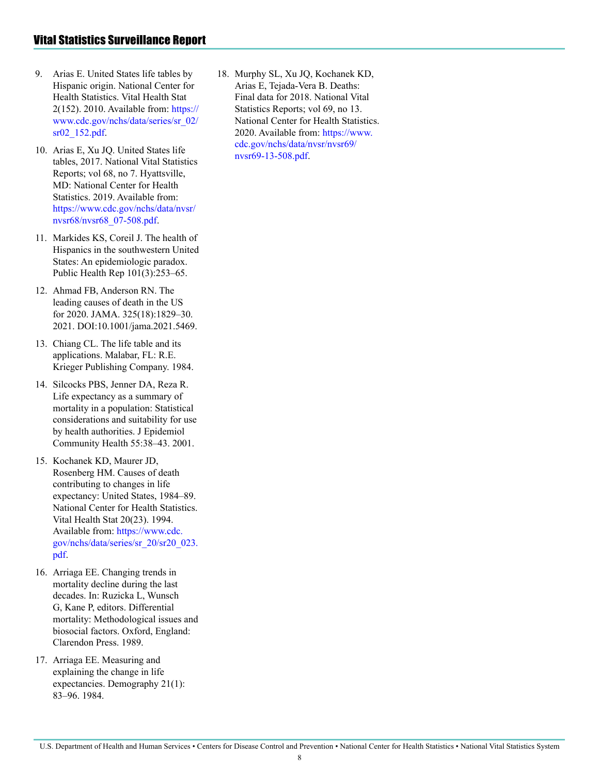- 9. Arias E. United States life tables by Hispanic origin. National Center for Health Statistics. Vital Health Stat 2(152). 2010. Available from: [https://](https://www.cdc.gov/nchs/data/series/sr_02/sr02_152.pdf) [www.cdc.gov/nchs/data/series/sr\\_02/](https://www.cdc.gov/nchs/data/series/sr_02/sr02_152.pdf) [sr02\\_152.pdf](https://www.cdc.gov/nchs/data/series/sr_02/sr02_152.pdf).
- 10. Arias E, Xu JQ. United States life tables, 2017. National Vital Statistics Reports; vol 68, no 7. Hyattsville, MD: National Center for Health Statistics. 2019. Available from: [https://www.cdc.gov/nchs/data/nvsr/](https://www.cdc.gov/nchs/data/nvsr/nvsr68/nvsr68_07-508.pdf) [nvsr68/nvsr68\\_07-508.pdf](https://www.cdc.gov/nchs/data/nvsr/nvsr68/nvsr68_07-508.pdf).
- 11. Markides KS, Coreil J. The health of Hispanics in the southwestern United States: An epidemiologic paradox. Public Health Rep 101(3):253–65.
- 12. Ahmad FB, Anderson RN. The leading causes of death in the US for 2020. JAMA. 325(18):1829–30. 2021. DOI:10.1001/jama.2021.5469.
- 13. Chiang CL. The life table and its applications. Malabar, FL: R.E. Krieger Publishing Company. 1984.
- 14. Silcocks PBS, Jenner DA, Reza R. Life expectancy as a summary of mortality in a population: Statistical considerations and suitability for use by health authorities. J Epidemiol Community Health 55:38–43. 2001.
- 15. Kochanek KD, Maurer JD, Rosenberg HM. Causes of death contributing to changes in life expectancy: United States, 1984–89. National Center for Health Statistics. Vital Health Stat 20(23). 1994. Available from: [https://www.cdc.](https://www.cdc.gov/nchs/data/series/sr_20/sr20_023.pdf) [gov/nchs/data/series/sr\\_20/sr20\\_023.](https://www.cdc.gov/nchs/data/series/sr_20/sr20_023.pdf) [pdf](https://www.cdc.gov/nchs/data/series/sr_20/sr20_023.pdf).
- 16. Arriaga EE. Changing trends in mortality decline during the last decades. In: Ruzicka L, Wunsch G, Kane P, editors. Differential mortality: Methodological issues and biosocial factors. Oxford, England: Clarendon Press. 1989.
- 17. Arriaga EE. Measuring and explaining the change in life expectancies. Demography 21(1): 83–96. 1984.

18. Murphy SL, Xu JQ, Kochanek KD, Arias E, Tejada-Vera B. Deaths: Final data for 2018. National Vital Statistics Reports; vol 69, no 13. National Center for Health Statistics. 2020. Available from: [https://www.](https://www.cdc.gov/nchs/data/nvsr/nvsr69/nvsr69-13-508.pdf) [cdc.gov/nchs/data/nvsr/nvsr69/](https://www.cdc.gov/nchs/data/nvsr/nvsr69/nvsr69-13-508.pdf) [nvsr69-13-508.pdf.](https://www.cdc.gov/nchs/data/nvsr/nvsr69/nvsr69-13-508.pdf)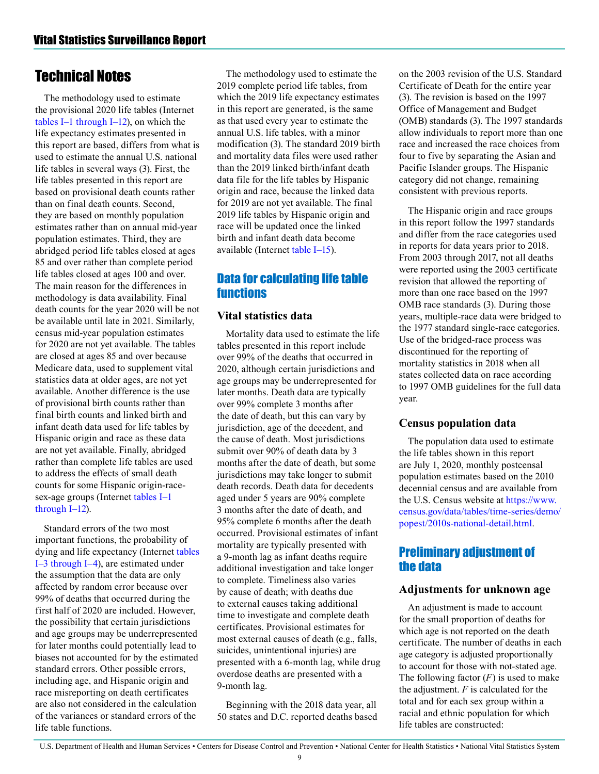## <span id="page-8-0"></span>Technical Notes

The methodology used to estimate the provisional 2020 life tables (Internet [tables I–1 through I–12\)](https://www.cdc.gov/nchs/data/vsrr/vsrr015-tables-508.pdf#1), on which the life expectancy estimates presented in this report are based, differs from what is used to estimate the annual U.S. national life tables in several ways (3). First, the life tables presented in this report are based on provisional death counts rather than on final death counts. Second, they are based on monthly population estimates rather than on annual mid-year population estimates. Third, they are abridged period life tables closed at ages 85 and over rather than complete period life tables closed at ages 100 and over. The main reason for the differences in methodology is data availability. Final death counts for the year 2020 will be not be available until late in 2021. Similarly, census mid-year population estimates for 2020 are not yet available. The tables are closed at ages 85 and over because Medicare data, used to supplement vital statistics data at older ages, are not yet available. Another difference is the use of provisional birth counts rather than final birth counts and linked birth and infant death data used for life tables by Hispanic origin and race as these data are not yet available. Finally, abridged rather than complete life tables are used to address the effects of small death counts for some Hispanic origin-racesex-age groups (Internet [tables I–1](https://www.cdc.gov/nchs/data/vsrr/vsrr015-tables-508.pdf#1)  [through I–12\)](https://www.cdc.gov/nchs/data/vsrr/vsrr015-tables-508.pdf#1).

Standard errors of the two most important functions, the probability of dying and life expectancy (Internet [tables](https://www.cdc.gov/nchs/data/vsrr/vsrr015-tables-508.pdf#3)  [I–3 through I–4\)](https://www.cdc.gov/nchs/data/vsrr/vsrr015-tables-508.pdf#3), are estimated under the assumption that the data are only affected by random error because over 99% of deaths that occurred during the first half of 2020 are included. However, the possibility that certain jurisdictions and age groups may be underrepresented for later months could potentially lead to biases not accounted for by the estimated standard errors. Other possible errors, including age, and Hispanic origin and race misreporting on death certificates are also not considered in the calculation of the variances or standard errors of the life table functions.

The methodology used to estimate the 2019 complete period life tables, from which the 2019 life expectancy estimates in this report are generated, is the same as that used every year to estimate the annual U.S. life tables, with a minor modification (3). The standard 2019 birth and mortality data files were used rather than the 2019 linked birth/infant death data file for the life tables by Hispanic origin and race, because the linked data for 2019 are not yet available. The final 2019 life tables by Hispanic origin and race will be updated once the linked birth and infant death data become available (Internet [table I–15](https://www.cdc.gov/nchs/data/vsrr/vsrr015-tables-508.pdf#15)).

### Data for calculating life table functions

#### **Vital statistics data**

Mortality data used to estimate the life tables presented in this report include over 99% of the deaths that occurred in 2020, although certain jurisdictions and age groups may be underrepresented for later months. Death data are typically over 99% complete 3 months after the date of death, but this can vary by jurisdiction, age of the decedent, and the cause of death. Most jurisdictions submit over 90% of death data by 3 months after the date of death, but some jurisdictions may take longer to submit death records. Death data for decedents aged under 5 years are 90% complete 3 months after the date of death, and 95% complete 6 months after the death occurred. Provisional estimates of infant mortality are typically presented with a 9-month lag as infant deaths require additional investigation and take longer to complete. Timeliness also varies by cause of death; with deaths due to external causes taking additional time to investigate and complete death certificates. Provisional estimates for most external causes of death (e.g., falls, suicides, unintentional injuries) are presented with a 6-month lag, while drug overdose deaths are presented with a 9-month lag.

Beginning with the 2018 data year, all 50 states and D.C. reported deaths based on the 2003 revision of the U.S. Standard Certificate of Death for the entire year (3). The revision is based on the 1997 Office of Management and Budget (OMB) standards (3). The 1997 standards allow individuals to report more than one race and increased the race choices from four to five by separating the Asian and Pacific Islander groups. The Hispanic category did not change, remaining consistent with previous reports.

The Hispanic origin and race groups in this report follow the 1997 standards and differ from the race categories used in reports for data years prior to 2018. From 2003 through 2017, not all deaths were reported using the 2003 certificate revision that allowed the reporting of more than one race based on the 1997 OMB race standards (3). During those years, multiple-race data were bridged to the 1977 standard single-race categories. Use of the bridged-race process was discontinued for the reporting of mortality statistics in 2018 when all states collected data on race according to 1997 OMB guidelines for the full data year.

#### **Census population data**

The population data used to estimate the life tables shown in this report are July 1, 2020, monthly postcensal population estimates based on the 2010 decennial census and are available from the U.S. Census website at [https://www.](https://www.census.gov/data/tables/time-series/demo/popest/2010s-national-detail.html) [census.gov/data/tables/time-series/demo/](https://www.census.gov/data/tables/time-series/demo/popest/2010s-national-detail.html) [popest/2010s-national-detail.html](https://www.census.gov/data/tables/time-series/demo/popest/2010s-national-detail.html).

#### Preliminary adjustment of the data

#### **Adjustments for unknown age**

An adjustment is made to account for the small proportion of deaths for which age is not reported on the death certificate. The number of deaths in each age category is adjusted proportionally to account for those with not-stated age. The following factor  $(F)$  is used to make the adjustment. *F* is calculated for the total and for each sex group within a racial and ethnic population for which life tables are constructed:

U.S. Department of Health and Human Services • Centers for Disease Control and Prevention • National Center for Health Statistics • National Vital Statistics System

9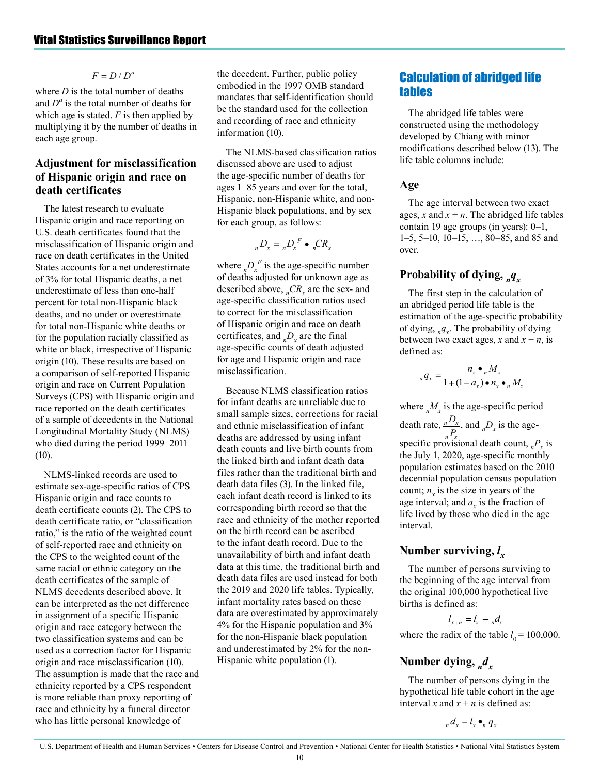#### $F = D/D^a$

where *D* is the total number of deaths and *D<sup>a</sup>* is the total number of deaths for which age is stated. *F* is then applied by multiplying it by the number of deaths in each age group.

#### **Adjustment for misclassification of Hispanic origin and race on death certificates**

The latest research to evaluate Hispanic origin and race reporting on U.S. death certificates found that the misclassification of Hispanic origin and race on death certificates in the United States accounts for a net underestimate of 3% for total Hispanic deaths, a net underestimate of less than one-half percent for total non-Hispanic black deaths, and no under or overestimate for total non-Hispanic white deaths or for the population racially classified as white or black, irrespective of Hispanic origin (10). These results are based on a comparison of self-reported Hispanic origin and race on Current Population Surveys (CPS) with Hispanic origin and race reported on the death certificates of a sample of decedents in the National Longitudinal Mortality Study (NLMS) who died during the period 1999–2011 (10).

NLMS-linked records are used to estimate sex-age-specific ratios of CPS Hispanic origin and race counts to death certificate counts (2). The CPS to death certificate ratio, or "classification ratio," is the ratio of the weighted count of self-reported race and ethnicity on the CPS to the weighted count of the same racial or ethnic category on the death certificates of the sample of NLMS decedents described above. It can be interpreted as the net difference in assignment of a specific Hispanic origin and race category between the two classification systems and can be used as a correction factor for Hispanic origin and race misclassification (10). The assumption is made that the race and ethnicity reported by a CPS respondent is more reliable than proxy reporting of race and ethnicity by a funeral director who has little personal knowledge of

the decedent. Further, public policy embodied in the 1997 OMB standard mandates that self-identification should be the standard used for the collection and recording of race and ethnicity information (10).

The NLMS-based classification ratios discussed above are used to adjust the age-specific number of deaths for ages 1–85 years and over for the total, Hispanic, non-Hispanic white, and non-Hispanic black populations, and by sex for each group, as follows:

$$
{}_{n}D_{x} = {}_{n}D_{x}^{F} \bullet {}_{n}CR_{x}
$$

where  $n D_x^F$  is the age-specific number of deaths adjusted for unknown age as described above,  ${}_{n}CR_{x}$  are the sex- and age-specific classification ratios used to correct for the misclassification of Hispanic origin and race on death certificates, and  $_D_p_n$  are the final age-specific counts of death adjusted for age and Hispanic origin and race misclassification.

Because NLMS classification ratios for infant deaths are unreliable due to small sample sizes, corrections for racial and ethnic misclassification of infant deaths are addressed by using infant death counts and live birth counts from the linked birth and infant death data files rather than the traditional birth and death data files (3). In the linked file, each infant death record is linked to its corresponding birth record so that the race and ethnicity of the mother reported on the birth record can be ascribed to the infant death record. Due to the unavailability of birth and infant death data at this time, the traditional birth and death data files are used instead for both the 2019 and 2020 life tables. Typically, infant mortality rates based on these data are overestimated by approximately 4% for the Hispanic population and 3% for the non-Hispanic black population and underestimated by 2% for the non-Hispanic white population (1).

### Calculation of abridged life tables

The abridged life tables were constructed using the methodology developed by Chiang with minor modifications described below (13). The life table columns include:

#### **Age**

The age interval between two exact ages, *x* and  $x + n$ . The abridged life tables contain 19 age groups (in years): 0–1, 1–5, 5–10, 10–15, …, 80–85, and 85 and over.

#### **Probability of dying,** *nqx*

The first step in the calculation of an abridged period life table is the estimation of the age-specific probability of dying, *nqx* . The probability of dying between two exact ages, *x* and  $x + n$ , is defined as:

$$
{}_{n}q_{x} = \frac{n_{x} \bullet {}_{n}M_{x}}{1 + (1 - a_{x}) \bullet n_{x} \bullet {}_{n}M_{x}}
$$

where  $_nM_x$  is the age-specific period death rate,  $\frac{nD_x}{R}$ , and  $nD_x$  is the agespecific provisional death count,  ${}_{n}P_{x}$  is the July 1, 2020, age-specific monthly population estimates based on the 2010 decennial population census population count;  $n<sub>x</sub>$  is the size in years of the age interval; and  $a_x$  is the fraction of life lived by those who died in the age interval. *n x D P*

## **Number surviving,** *l x*

The number of persons surviving to the beginning of the age interval from the original 100,000 hypothetical live births is defined as:

$$
l_{x+n} = l_x - {}_n d_x
$$

where the radix of the table  $l_0 = 100,000$ .

#### Number dying, *<sup>n</sup>*<sub>*x*</sub>

The number of persons dying in the hypothetical life table cohort in the age interval *x* and  $x + n$  is defined as:

#### $d_x d_y = l_x \bullet_n q_x$

U.S. Department of Health and Human Services • Centers for Disease Control and Prevention • National Center for Health Statistics • National Vital Statistics System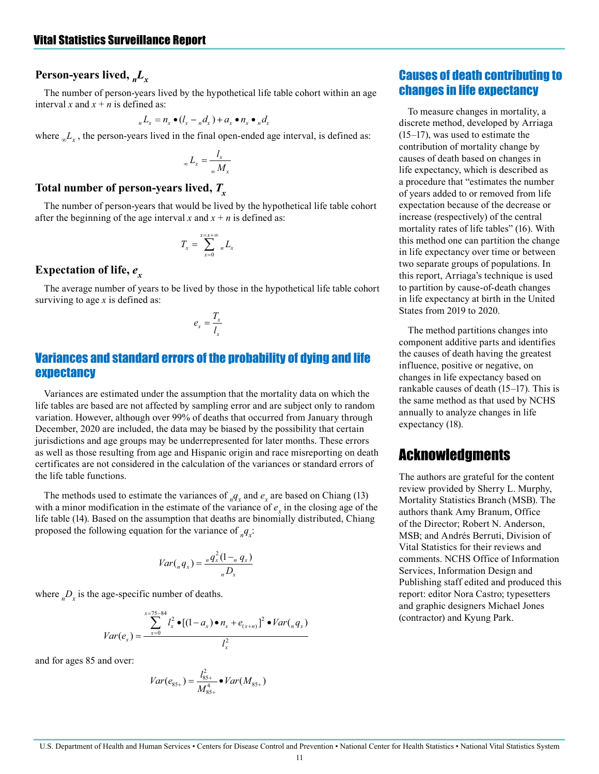#### **Person-years lived,** *nLx*

The number of person-years lived by the hypothetical life table cohort within an age interval *x* and  $x + n$  is defined as:

$$
{}_{n}L_{x} = n_{x} \bullet (l_{x} - {}_{n}d_{x}) + a_{x} \bullet n_{x} \bullet {}_{n}d_{x}
$$

where  $\mathcal{L}_x$ , the person-years lived in the final open-ended age interval, is defined as:

$$
{}_{\infty}L_{x}=\frac{l_{x}}{\omega M_{x}}
$$

#### **Total number of person-years lived,** *Tx*

The number of person-years that would be lived by the hypothetical life table cohort after the beginning of the age interval *x* and  $x + n$  is defined as:

$$
T_x = \sum_{x=0}^{x=x+\infty} {}_nL_x
$$

#### **Expectation of life,**  $e_x$

The average number of years to be lived by those in the hypothetical life table cohort surviving to age *x* is defined as:

$$
e_x = \frac{T_x}{I_x}
$$

#### Variances and standard errors of the probability of dying and life expectancy

Variances are estimated under the assumption that the mortality data on which the life tables are based are not affected by sampling error and are subject only to random variation. However, although over 99% of deaths that occurred from January through December, 2020 are included, the data may be biased by the possibility that certain jurisdictions and age groups may be underrepresented for later months. These errors as well as those resulting from age and Hispanic origin and race misreporting on death certificates are not considered in the calculation of the variances or standard errors of the life table functions.

The methods used to estimate the variances of  $_{n}q_{x}$  and  $e_{x}$  are based on Chiang (13) with a minor modification in the estimate of the variance of  $e_x$  in the closing age of the life table (14). Based on the assumption that deaths are binomially distributed, Chiang proposed the following equation for the variance of  $_{n}q_{x}$ :

$$
Var(_nq_x) = \frac{{}_nq_x^2(1 - _nq_x)}{{}_nD_x}
$$

where  $_D_{x}$  is the age-specific number of deaths.

$$
Var(e_x) = \frac{\sum_{x=0}^{x=75-84} l_x^2 \bullet [(1-a_x) \bullet n_x + e_{(x+n)}]^2 \bullet Var(_n q_x)}{l_x^2}
$$

and for ages 85 and over:

$$
Var(e_{85+}) = \frac{l_{85+}^2}{M_{85+}^4} \bullet Var(M_{85+})
$$

#### Causes of death contributing to changes in life expectancy

To measure changes in mortality, a discrete method, developed by Arriaga (15–17), was used to estimate the contribution of mortality change by causes of death based on changes in life expectancy, which is described as a procedure that "estimates the number of years added to or removed from life expectation because of the decrease or increase (respectively) of the central mortality rates of life tables" (16). With this method one can partition the change in life expectancy over time or between two separate groups of populations. In this report, Arriaga's technique is used to partition by cause-of-death changes in life expectancy at birth in the United States from 2019 to 2020.

The method partitions changes into component additive parts and identifies the causes of death having the greatest influence, positive or negative, on changes in life expectancy based on rankable causes of death (15–17). This is the same method as that used by NCHS annually to analyze changes in life expectancy (18).

### **Acknowledgments**

The authors are grateful for the content review provided by Sherry L. Murphy, Mortality Statistics Branch (MSB). The authors thank Amy Branum, Office of the Director; Robert N. Anderson, MSB; and Andrés Berruti, Division of Vital Statistics for their reviews and comments. NCHS Office of Information Services, Information Design and Publishing staff edited and produced this report: editor Nora Castro; typesetters and graphic designers Michael Jones (contractor) and Kyung Park.